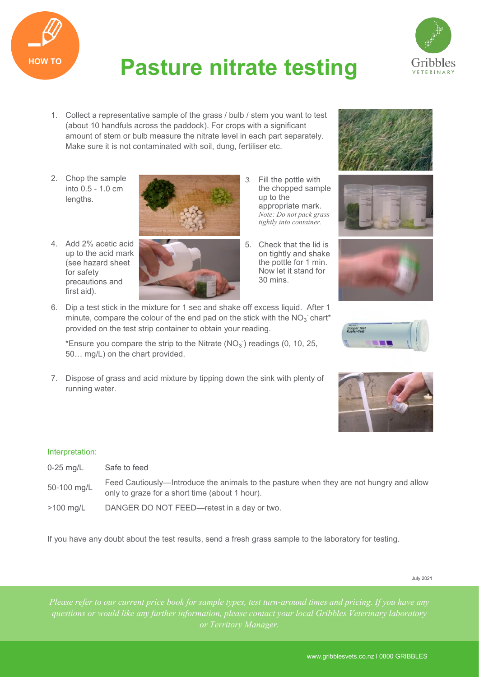

## **HOW TO Pasture nitrate testing**



- 1. Collect a representative sample of the grass / bulb / stem you want to test (about 10 handfuls across the paddock). For crops with a significant amount of stem or bulb measure the nitrate level in each part separately. Make sure it is not contaminated with soil, dung, fertiliser etc.
- 2. Chop the sample into 0.5 - 1.0 cm lengths.

up to the acid mark (see hazard sheet

for safety precautions and

first aid).



- the chopped sample up to the appropriate mark. *Note: Do not pack grass tightly into container.*
- 5. Check that the lid is on tightly and shake the pottle for 1 min. Now let it stand for 30 mins.
- 6. Dip a test stick in the mixture for 1 sec and shake off excess liquid. After 1 minute, compare the colour of the end pad on the stick with the  $NO<sub>3</sub>$  chart\* provided on the test strip container to obtain your reading.

\*Ensure you compare the strip to the Nitrate  $(NO<sub>3</sub>)$  readings  $(0, 10, 25, 10)$ 50… mg/L) on the chart provided.

7. Dispose of grass and acid mixture by tipping down the sink with plenty of running water.









## Interpretation:

- 0-25 mg/L Safe to feed
- 50-100 mg/L Feed Cautiously—Introduce the animals to the pasture when they are not hungry and allow only to graze for a short time (about 1 hour).
- >100 mg/L DANGER DO NOT FEED—retest in a day or two.

If you have any doubt about the test results, send a fresh grass sample to the laboratory for testing.

July 2021